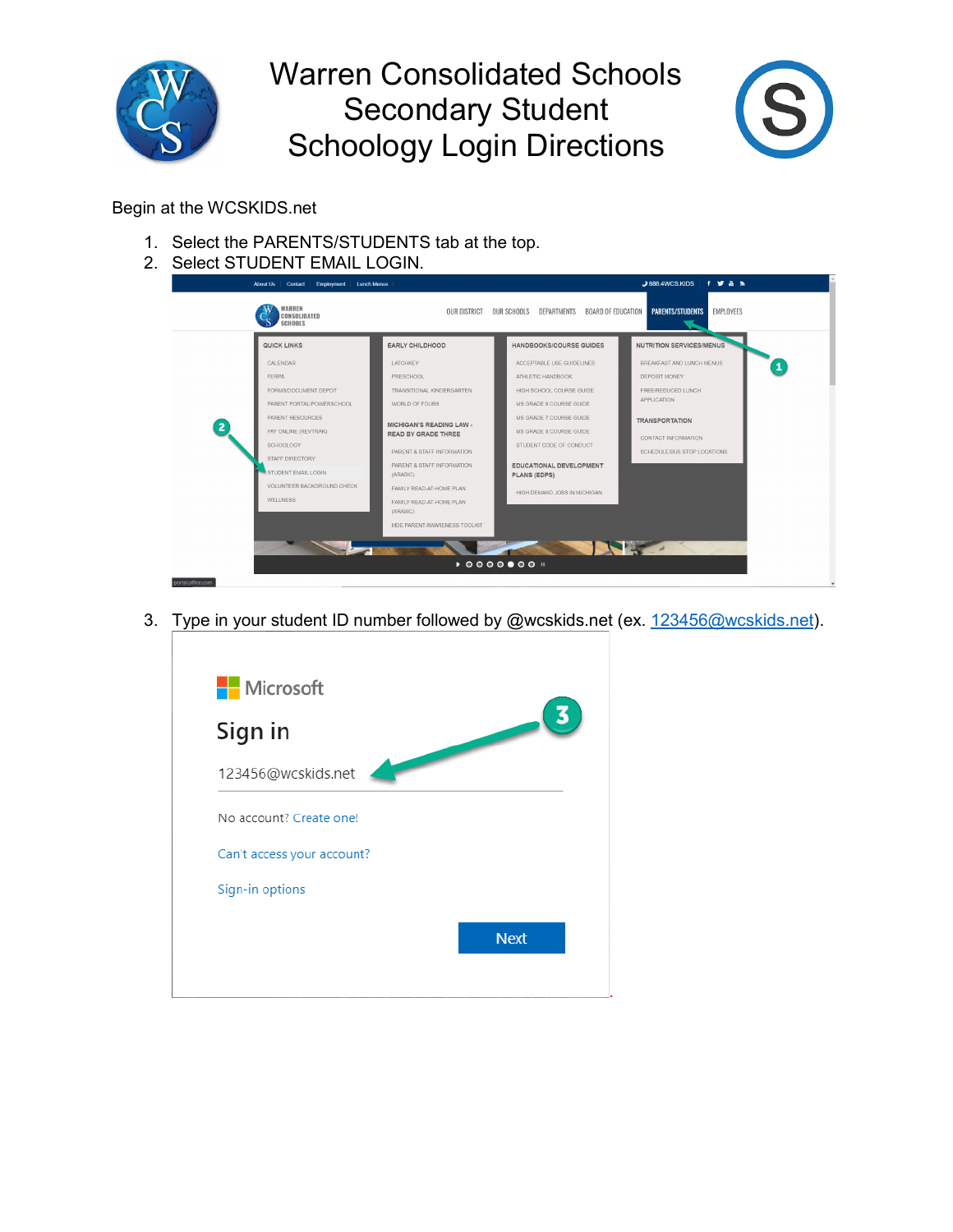

## Warren Consolidated Schools Secondary Student Schoology Login Directions



## Begin at the WCSKIDS.net

- 1. Select the PARENTS/STUDENTS tab at the top.
- 2. Select STUDENT EMAIL LOGIN.

| WARREN<br>CONSOLIDATED<br><b>SCHOOLS</b>          |                                                                  | OUR DISTRICT OUR SCHOOLS DEPARTMENTS<br><b>BOARD OF EDUCATION</b> | EMPLOYEES<br><b>PARENTS/STUDENTS</b>                         |
|---------------------------------------------------|------------------------------------------------------------------|-------------------------------------------------------------------|--------------------------------------------------------------|
| QUICK LINKS<br>CALENDAR                           | <b>EARLY CHILDHOOD</b><br><b>LATCHKEY</b>                        | <b>HANDBOOKS/COURSE GUIDES</b><br>ACCEPTABLE USE GUIDELINES       | <b>NUTRITION SERVICES/MENUS</b><br>BREAKFAST AND LUNCH MENUS |
| FERPA                                             | PRESCHOOL                                                        | ATHLETIC HANDBOOK                                                 | DEPOSIT MONEY                                                |
| FORMS/DOCUMENT DEPOT<br>PARENT PORTAL/POWERSCHOOL | TRANSITIONAL KINDERGARTEN<br>WORLD OF FOURS                      | HIGH SCHOOL COURSE GUIDE<br>MS GRADE 6 COURSE GUIDE               | FREE/REDUCED LUNCH<br>APPLICATION                            |
| PARENT RESOURCES                                  |                                                                  | MS GRADE 7 COURSE GUIDE                                           | <b>TRANSPORTATION</b>                                        |
| PAY ONLINE (REVTRAK)                              | <b>MICHIGAN'S READING LAW -</b><br><b>READ BY GRADE THREE</b>    | MS GRADE 8 COURSE GUIDE                                           | CONTACT INFORMATION                                          |
| SCHOOLOGY                                         | PARENT & STAFF INFORMATION                                       | STUDENT CODE OF CONDUCT                                           | SCHEDULE/BUS STOP LOCATIONS                                  |
| STAFF DIRECTORY<br>STUDENT EMAIL LOGIN            | PARENT & STAFF INFORMATION<br>(ARABIC)                           | EDUCATIONAL DEVELOPMENT<br><b>PLANS (EDPS)</b>                    |                                                              |
| VOLUNTEER BACKGROUND CHECK<br>WELLNESS            | FAMILY READ-AT-HOME PLAN<br>FAMILY READ-AT-HOME PLAN<br>(ARABIC) | HIGH DEMAND JOBS IN MICHIGAN                                      |                                                              |
|                                                   | MDE PARENT AWARENESS TOOLKIT                                     |                                                                   |                                                              |
|                                                   |                                                                  |                                                                   |                                                              |

3. Type in your student ID number followed by @wcskids.net (ex. [123456@wcskids.net\)](mailto:123456@wcskids.net).

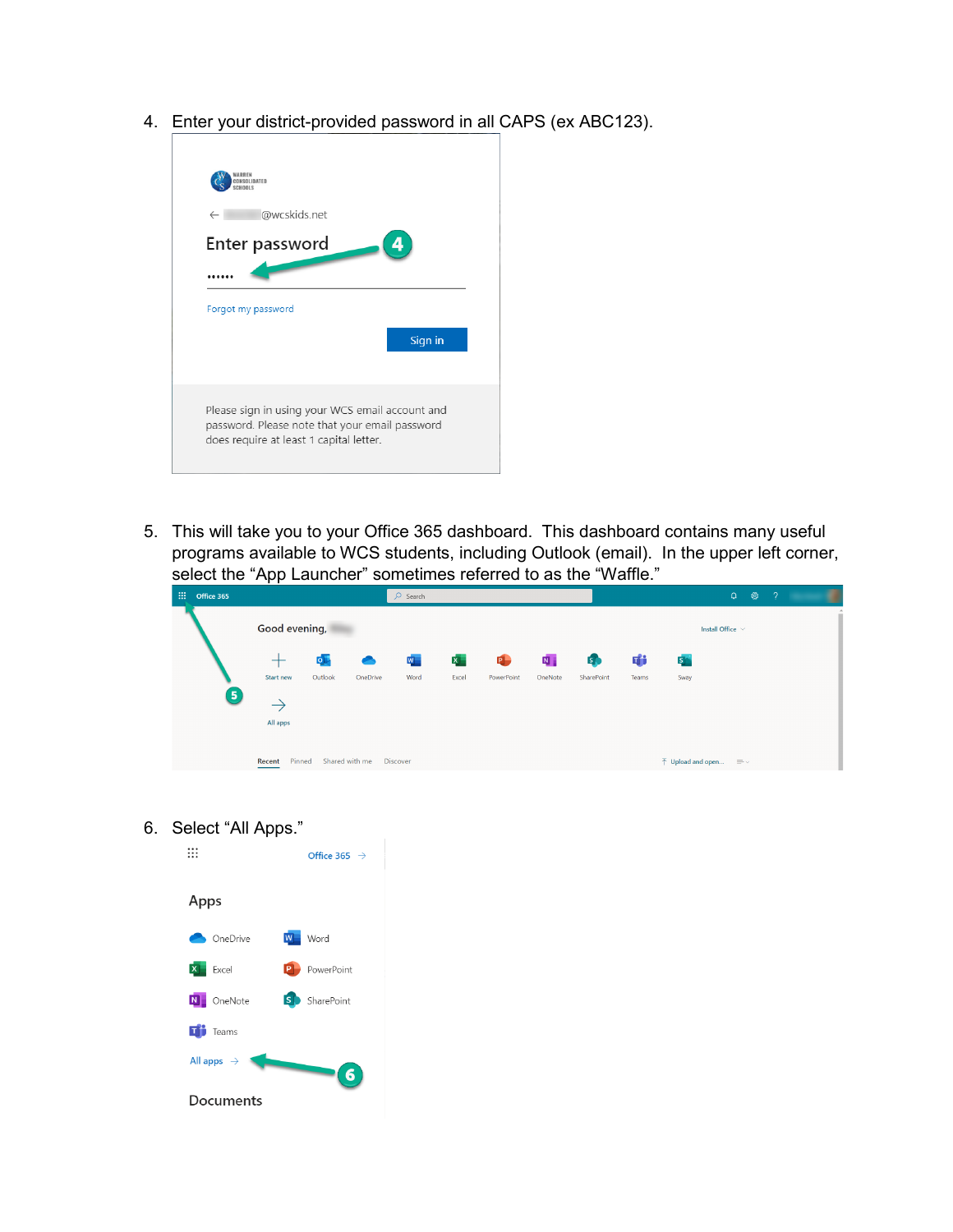4. Enter your district-provided password in all CAPS (ex ABC123).



5. This will take you to your Office 365 dashboard. This dashboard contains many useful programs available to WCS students, including Outlook (email). In the upper left corner, select the "App Launcher" sometimes referred to as the "Waffle."

| $\frac{111}{111}$ Office 365 |                  |         |                | $O$ Search      |                |            |                           |            |       |                                                            | $\Omega$<br>ි         | - 2 | u        |
|------------------------------|------------------|---------|----------------|-----------------|----------------|------------|---------------------------|------------|-------|------------------------------------------------------------|-----------------------|-----|----------|
|                              | Good evening,    |         |                |                 |                |            |                           |            |       |                                                            | Install Office $\vee$ |     | $\Delta$ |
|                              | $^{+}$           | $\circ$ | $\bullet$      | W.              | $\mathbf{x}$ . | P.         | $\overline{\mathbf{N}}$ . | 6          | 喞     | $S_{\perp}$                                                |                       |     |          |
|                              | <b>Start new</b> | Outlook | OneDrive       | Word            | Excel          | PowerPoint | OneNote                   | SharePoint | Teams | Sway                                                       |                       |     |          |
| Θ                            | $\rightarrow$    |         |                |                 |                |            |                           |            |       |                                                            |                       |     |          |
|                              | All apps         |         |                |                 |                |            |                           |            |       |                                                            |                       |     |          |
|                              |                  |         |                |                 |                |            |                           |            |       |                                                            |                       |     |          |
|                              | Pinned<br>Recent |         | Shared with me | <b>Discover</b> |                |            |                           |            |       | $\bar{\uparrow}$ Upload and open $\equiv \bar{\downarrow}$ |                       |     |          |

6. Select "All Apps."

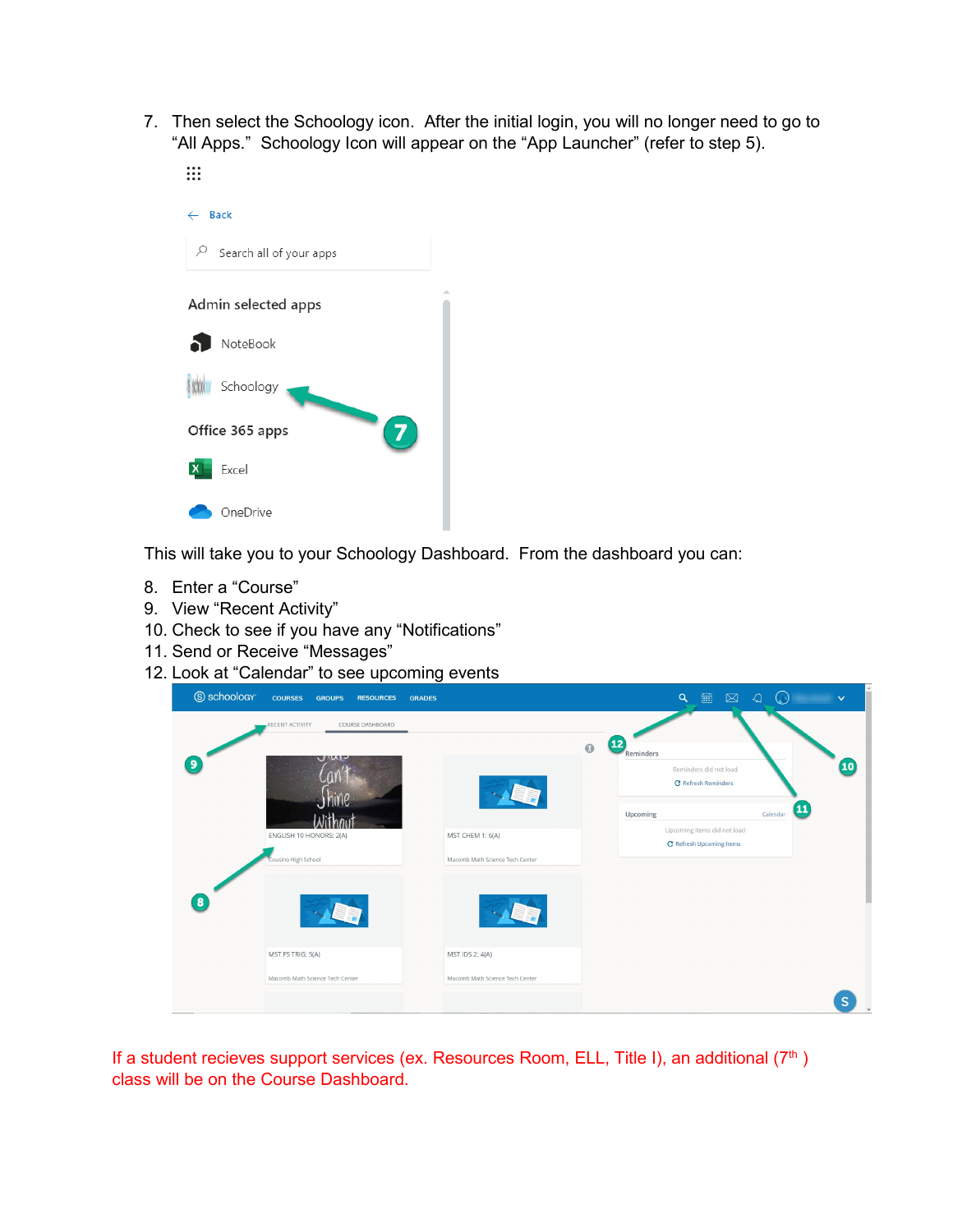7. Then select the Schoology icon. After the initial login, you will no longer need to go to "All Apps." Schoology Icon will appear on the "App Launcher" (refer to step 5).  $\vdots$ 



This will take you to your Schoology Dashboard. From the dashboard you can:

- 8. Enter a "Course"
- 9. View "Recent Activity"
- 10. Check to see if you have any "Notifications"
- 11. Send or Receive "Messages"
- 12. Look at "Calendar" to see upcoming events

| S schoology | <b>COURSES</b><br><b>GROUPS</b><br><b>RESOURCES</b><br><b>GRADES</b> |                                                           | 圖<br>$\alpha$<br>$\boxtimes$<br>$\mathcal{Q}$<br>$(\Box)$<br>$\checkmark$                                                               |
|-------------|----------------------------------------------------------------------|-----------------------------------------------------------|-----------------------------------------------------------------------------------------------------------------------------------------|
| 9           | RECENT ACTIVITY<br>COURSE DASHBOARD<br>$U^{\prime}$ up<br>Jhine      | $\odot$<br>Lin                                            | $\overline{12}$<br>Reminders<br>$\overline{\mathbf{10}}$<br>Reminders did not load<br><b>C</b> Refresh Reminders<br>$\boldsymbol{\Phi}$ |
|             | Without<br>ENGLISH 10 HONORS: 2(A)<br>Cousino High School            | MST CHEM 1: 6(A)<br>Macomb Math Science Tech Center       | Calendar<br>Upcoming<br>Upcoming items did not load<br><b>C</b> Refresh Upcoming Items                                                  |
| 8           | 小时                                                                   | SLT                                                       |                                                                                                                                         |
|             | MST FS TRIG: 5(A)<br>Macomb Math Science Tech Center                 | <b>MST IDS 2: 4(A)</b><br>Macomb Math Science Tech Center | S                                                                                                                                       |

If a student recieves support services (ex. Resources Room, ELL, Title I), an additional  $(7<sup>th</sup>)$ class will be on the Course Dashboard.